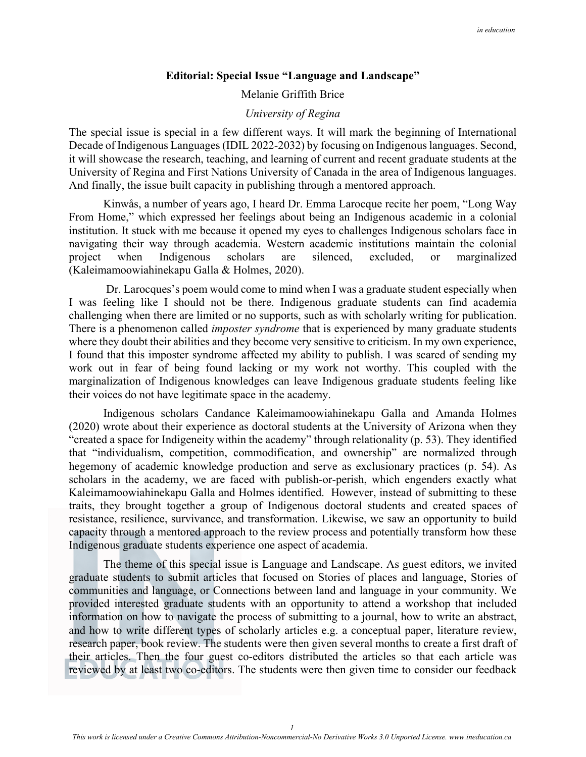## **Editorial: Special Issue "Language and Landscape"**

Melanie Griffith Brice

## *University of Regina*

The special issue is special in a few different ways. It will mark the beginning of International Decade of Indigenous Languages (IDIL 2022-2032) by focusing on Indigenous languages. Second, it will showcase the research, teaching, and learning of current and recent graduate students at the University of Regina and First Nations University of Canada in the area of Indigenous languages. And finally, the issue built capacity in publishing through a mentored approach.

Kinwås, a number of years ago, I heard Dr. Emma Larocque recite her poem, "Long Way From Home," which expressed her feelings about being an Indigenous academic in a colonial institution. It stuck with me because it opened my eyes to challenges Indigenous scholars face in navigating their way through academia. Western academic institutions maintain the colonial project when Indigenous scholars are silenced, excluded, or marginalized (Kaleimamoowiahinekapu Galla & Holmes, 2020).

 Dr. Larocques's poem would come to mind when I was a graduate student especially when I was feeling like I should not be there. Indigenous graduate students can find academia challenging when there are limited or no supports, such as with scholarly writing for publication. There is a phenomenon called *imposter syndrome* that is experienced by many graduate students where they doubt their abilities and they become very sensitive to criticism. In my own experience, I found that this imposter syndrome affected my ability to publish. I was scared of sending my work out in fear of being found lacking or my work not worthy. This coupled with the marginalization of Indigenous knowledges can leave Indigenous graduate students feeling like their voices do not have legitimate space in the academy.

Indigenous scholars Candance Kaleimamoowiahinekapu Galla and Amanda Holmes (2020) wrote about their experience as doctoral students at the University of Arizona when they "created a space for Indigeneity within the academy" through relationality (p. 53). They identified that "individualism, competition, commodification, and ownership" are normalized through hegemony of academic knowledge production and serve as exclusionary practices (p. 54). As scholars in the academy, we are faced with publish-or-perish, which engenders exactly what Kaleimamoowiahinekapu Galla and Holmes identified. However, instead of submitting to these traits, they brought together a group of Indigenous doctoral students and created spaces of resistance, resilience, survivance, and transformation. Likewise, we saw an opportunity to build capacity through a mentored approach to the review process and potentially transform how these Indigenous graduate students experience one aspect of academia.

The theme of this special issue is Language and Landscape. As guest editors, we invited graduate students to submit articles that focused on Stories of places and language, Stories of communities and language, or Connections between land and language in your community. We provided interested graduate students with an opportunity to attend a workshop that included information on how to navigate the process of submitting to a journal, how to write an abstract, and how to write different types of scholarly articles e.g. a conceptual paper, literature review, research paper, book review. The students were then given several months to create a first draft of their articles. Then the four guest co-editors distributed the articles so that each article was reviewed by at least two co-editors. The students were then given time to consider our feedback

*1*